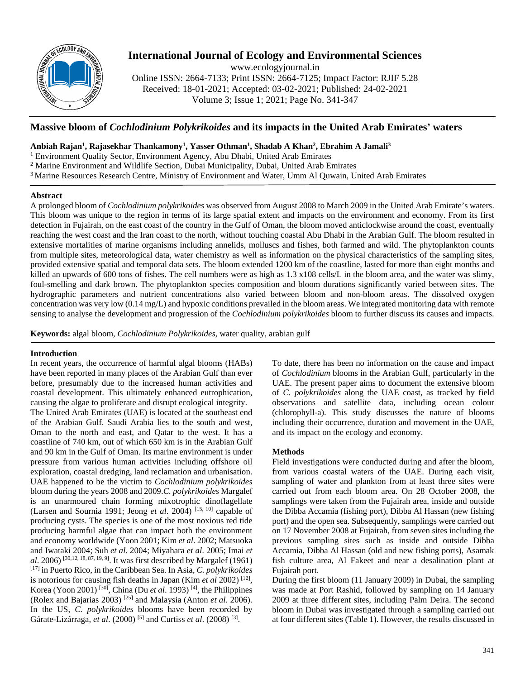

# **International Journal of Ecology and Environmental Sciences**

www.ecologyjournal.in

Online ISSN: 2664-7133; Print ISSN: 2664-7125; Impact Factor: RJIF 5.28 Received: 18-01-2021; Accepted: 03-02-2021; Published: 24-02-2021 Volume 3; Issue 1; 2021; Page No. 341-347

## **Massive bloom of** *Cochlodinium Polykrikoides* **and its impacts in the United Arab Emirates' waters**

## **Anbiah Rajan1 , Rajasekhar Thankamony1 , Yasser Othman1 , Shadab A Khan2 , Ebrahim A Jamali3**

<sup>1</sup> Environment Quality Sector, Environment Agency, Abu Dhabi, United Arab Emirates

<sup>2</sup> Marine Environment and Wildlife Section, Dubai Municipality, Dubai, United Arab Emirates

3 Marine Resources Research Centre, Ministry of Environment and Water, Umm Al Quwain, United Arab Emirates

#### **Abstract**

A prolonged bloom of *Cochlodinium polykrikoides* was observed from August 2008 to March 2009 in the United Arab Emirate's waters. This bloom was unique to the region in terms of its large spatial extent and impacts on the environment and economy. From its first detection in Fujairah, on the east coast of the country in the Gulf of Oman, the bloom moved anticlockwise around the coast, eventually reaching the west coast and the Iran coast to the north, without touching coastal Abu Dhabi in the Arabian Gulf. The bloom resulted in extensive mortalities of marine organisms including annelids, molluscs and fishes, both farmed and wild. The phytoplankton counts from multiple sites, meteorological data, water chemistry as well as information on the physical characteristics of the sampling sites, provided extensive spatial and temporal data sets. The bloom extended 1200 km of the coastline, lasted for more than eight months and killed an upwards of 600 tons of fishes. The cell numbers were as high as 1.3 x108 cells/L in the bloom area, and the water was slimy, foul-smelling and dark brown. The phytoplankton species composition and bloom durations significantly varied between sites. The hydrographic parameters and nutrient concentrations also varied between bloom and non-bloom areas. The dissolved oxygen concentration was very low (0.14 mg/L) and hypoxic conditions prevailed in the bloom areas. We integrated monitoring data with remote sensing to analyse the development and progression of the *Cochlodinium polykrikoides* bloom to further discuss its causes and impacts.

**Keywords:** algal bloom, *Cochlodinium Polykrikoides,* water quality, arabian gulf

## **Introduction**

In recent years, the occurrence of harmful algal blooms (HABs) have been reported in many places of the Arabian Gulf than ever before, presumably due to the increased human activities and coastal development. This ultimately enhanced eutrophication, causing the algae to proliferate and disrupt ecological integrity. The United Arab Emirates (UAE) is located at the southeast end of the Arabian Gulf. Saudi Arabia lies to the south and west, Oman to the north and east, and Qatar to the west. It has a coastline of 740 km, out of which 650 km is in the Arabian Gulf and 90 km in the Gulf of Oman. Its marine environment is under pressure from various human activities including offshore oil exploration, coastal dredging, land reclamation and urbanisation. UAE happened to be the victim to *Cochlodinium polykrikoides* bloom during the years 2008 and 2009.*C. polykrikoides* Margalef is an unarmoured chain forming mixotrophic dinoflagellate (Larsen and Sournia 1991; Jeong *et al*. 2004) [15, 10] capable of producing cysts. The species is one of the most noxious red tide producing harmful algae that can impact both the environment and economy worldwide (Yoon 2001; Kim *et al*. 2002; Matsuoka and Iwataki 2004; Suh *et al*. 2004; Miyahara *et al*. 2005; Imai *et al*. 2006) [30,12, 18, 87, 19, 9]. It was first described by Margalef (1961) [17] in Puerto Rico, in the Caribbean Sea. In Asia, *C. polykrikoides* is notorious for causing fish deaths in Japan (Kim *et al* 2002) [12], Korea (Yoon 2001) <sup>[30]</sup>, China (Du *et al.* 1993)<sup>[4]</sup>, the Philippines (Rolex and Bajarias 2003) [25] and Malaysia (Anton *et al*. 2006). In the US, *C. polykrikoides* blooms have been recorded by Gárate-Lizárraga, *et al*. (2000) [5] and Curtiss *et al*. (2008) [3].

To date, there has been no information on the cause and impact of *Cochlodinium* blooms in the Arabian Gulf, particularly in the UAE. The present paper aims to document the extensive bloom of *C. polykrikoides* along the UAE coast, as tracked by field observations and satellite data, including ocean colour (chlorophyll-a). This study discusses the nature of blooms including their occurrence, duration and movement in the UAE, and its impact on the ecology and economy.

## **Methods**

Field investigations were conducted during and after the bloom, from various coastal waters of the UAE. During each visit, sampling of water and plankton from at least three sites were carried out from each bloom area. On 28 October 2008, the samplings were taken from the Fujairah area, inside and outside the Dibba Accamia (fishing port), Dibba Al Hassan (new fishing port) and the open sea. Subsequently, samplings were carried out on 17 November 2008 at Fujairah, from seven sites including the previous sampling sites such as inside and outside Dibba Accamia, Dibba Al Hassan (old and new fishing ports), Asamak fish culture area, Al Fakeet and near a desalination plant at Fujairah port.

During the first bloom (11 January 2009) in Dubai, the sampling was made at Port Rashid, followed by sampling on 14 January 2009 at three different sites, including Palm Deira. The second bloom in Dubai was investigated through a sampling carried out at four different sites (Table 1). However, the results discussed in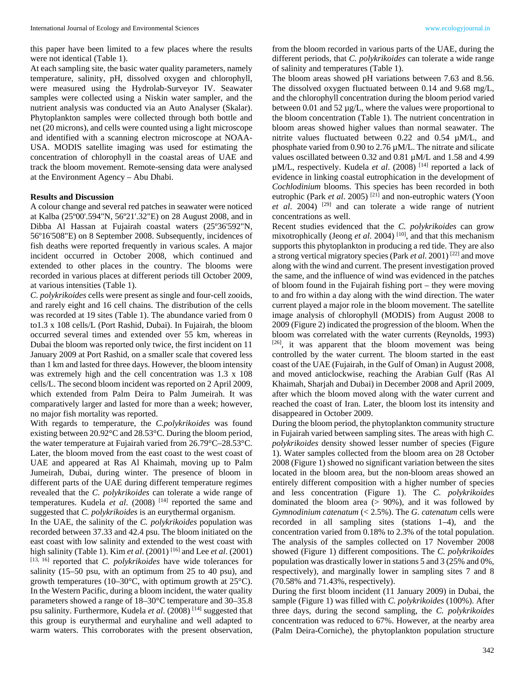this paper have been limited to a few places where the results were not identical (Table 1).

At each sampling site, the basic water quality parameters, namely temperature, salinity, pH, dissolved oxygen and chlorophyll, were measured using the Hydrolab-Surveyor IV. Seawater samples were collected using a Niskin water sampler, and the nutrient analysis was conducted via an Auto Analyser (Skalar). Phytoplankton samples were collected through both bottle and net (20 microns), and cells were counted using a light microscope and identified with a scanning electron microscope at NOAA-USA. MODIS satellite imaging was used for estimating the concentration of chlorophyll in the coastal areas of UAE and track the bloom movement. Remote-sensing data were analysed at the Environment Agency – Abu Dhabi.

#### **Results and Discussion**

A colour change and several red patches in seawater were noticed at Kalba (25º00'.594"N, 56º21'.32"E) on 28 August 2008, and in Dibba Al Hassan at Fujairah coastal waters (25º36'592"N, 56º16'508"E) on 8 September 2008. Subsequently, incidences of fish deaths were reported frequently in various scales. A major incident occurred in October 2008, which continued and extended to other places in the country. The blooms were recorded in various places at different periods till October 2009, at various intensities (Table 1).

*C. polykrikoides* cells were present as single and four-cell zooids, and rarely eight and 16 cell chains. The distribution of the cells was recorded at 19 sites (Table 1). The abundance varied from 0 to1.3 x 108 cells/L (Port Rashid, Dubai). In Fujairah, the bloom occurred several times and extended over 55 km, whereas in Dubai the bloom was reported only twice, the first incident on 11 January 2009 at Port Rashid, on a smaller scale that covered less than 1 km and lasted for three days. However, the bloom intensity was extremely high and the cell concentration was 1.3 x 108 cells/L. The second bloom incident was reported on 2 April 2009, which extended from Palm Deira to Palm Jumeirah. It was comparatively larger and lasted for more than a week; however, no major fish mortality was reported.

With regards to temperature, the *C.polykrikoides* was found existing between 20.92°C and 28.53°C. During the bloom period, the water temperature at Fujairah varied from 26.79°C–28.53°C. Later, the bloom moved from the east coast to the west coast of UAE and appeared at Ras Al Khaimah, moving up to Palm Jumeirah, Dubai, during winter. The presence of bloom in different parts of the UAE during different temperature regimes revealed that the *C. polykrikoides* can tolerate a wide range of temperatures. Kudela *et al*. (2008) [14] reported the same and suggested that *C. polykrikoides* is an eurythermal organism.

In the UAE, the salinity of the *C. polykrikoides* population was recorded between 37.33 and 42.4 psu. The bloom initiated on the east coast with low salinity and extended to the west coast with high salinity (Table 1). Kim *et al*. (2001) [16] and Lee *et al*. (2001) [13, 16] reported that *C. polykrikoides* have wide tolerances for salinity (15–50 psu, with an optimum from 25 to 40 psu), and growth temperatures (10–30 $^{\circ}$ C, with optimum growth at 25 $^{\circ}$ C). In the Western Pacific, during a bloom incident, the water quality parameters showed a range of 18–30°C temperature and 30–35.8 psu salinity. Furthermore, Kudela *et al*. (2008) [14] suggested that this group is eurythermal and euryhaline and well adapted to warm waters. This corroborates with the present observation,

from the bloom recorded in various parts of the UAE, during the different periods, that *C. polykrikoides* can tolerate a wide range of salinity and temperatures (Table 1).

The bloom areas showed pH variations between 7.63 and 8.56. The dissolved oxygen fluctuated between 0.14 and 9.68 mg/L, and the chlorophyll concentration during the bloom period varied between 0.01 and 52 µg/L, where the values were proportional to the bloom concentration (Table 1). The nutrient concentration in bloom areas showed higher values than normal seawater. The nitrite values fluctuated between 0.22 and 0.54 µM/L, and phosphate varied from 0.90 to 2.76 µM/L. The nitrate and silicate values oscillated between 0.32 and 0.81 µM/L and 1.58 and 4.99 µM/L, respectively. Kudela *et al*. (2008) [14] reported a lack of evidence in linking coastal eutrophication in the development of *Cochlodinium* blooms. This species has been recorded in both eutrophic (Park *et al.* 2005)<sup>[21]</sup> and non-eutrophic waters (Yoon *et al*. 2004) [29] and can tolerate a wide range of nutrient concentrations as well.

Recent studies evidenced that the *C. polykrikoides* can grow mixotrophically (Jeong *et al.* 2004)<sup>[10]</sup>, and that this mechanism supports this phytoplankton in producing a red tide. They are also a strong vertical migratory species (Park *et al*. 2001) [22] and move along with the wind and current. The present investigation proved the same, and the influence of wind was evidenced in the patches of bloom found in the Fujairah fishing port – they were moving to and fro within a day along with the wind direction. The water current played a major role in the bloom movement. The satellite image analysis of chlorophyll (MODIS) from August 2008 to 2009 (Figure 2) indicated the progression of the bloom. When the bloom was correlated with the water currents (Reynolds, 1993) [26], it was apparent that the bloom movement was being controlled by the water current. The bloom started in the east coast of the UAE (Fujairah, in the Gulf of Oman) in August 2008, and moved anticlockwise, reaching the Arabian Gulf (Ras Al Khaimah, Sharjah and Dubai) in December 2008 and April 2009, after which the bloom moved along with the water current and reached the coast of Iran. Later, the bloom lost its intensity and disappeared in October 2009.

During the bloom period, the phytoplankton community structure in Fujairah varied between sampling sites. The areas with high *C. polykrikoides* density showed lesser number of species (Figure 1). Water samples collected from the bloom area on 28 October 2008 (Figure 1) showed no significant variation between the sites located in the bloom area, but the non-bloom areas showed an entirely different composition with a higher number of species and less concentration (Figure 1). The *C. polykrikoides* dominated the bloom area  $(> 90\%)$ , and it was followed by *Gymnodinium catenatum* (< 2.5%). The *G. catenatum* cells were recorded in all sampling sites (stations 1–4), and the concentration varied from 0.18% to 2.3% of the total population. The analysis of the samples collected on 17 November 2008 showed (Figure 1) different compositions. The *C. polykrikoides* population was drastically lower in stations 5 and 3 (25% and 0%, respectively), and marginally lower in sampling sites 7 and 8 (70.58% and 71.43%, respectively).

During the first bloom incident (11 January 2009) in Dubai, the sample (Figure 1) was filled with *C. polykrikoides* (100%). After three days, during the second sampling, the *C. polykrikoides* concentration was reduced to 67%. However, at the nearby area (Palm Deira-Corniche), the phytoplankton population structure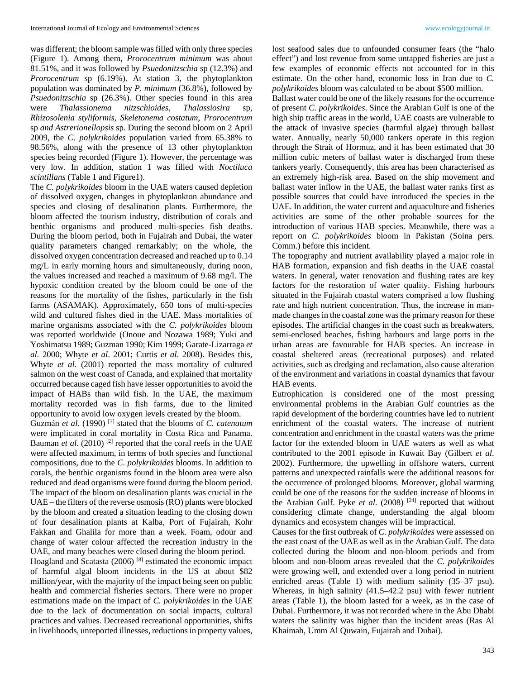was different; the bloom sample was filled with only three species (Figure 1). Among them, *Prorocentrum minimum* was about 81.51%, and it was followed by *Psuedonitzschia* sp (12.3%) and *Prorocentrum* sp (6.19%). At station 3, the phytoplankton population was dominated by *P. minimum* (36.8%), followed by *Psuedonitzschia* sp (26.3%). Other species found in this area were *Thalassionema nitzschioides*, *Thalassiosira Rhizosolenia styliformis, Skeletonema costatum*, *Prorocentrum*  sp *and Astrerionellopsis* sp. During the second bloom on 2 April 2009, the *C. polykrikoides* population varied from 65.38% to 98.56%, along with the presence of 13 other phytoplankton species being recorded (Figure 1). However, the percentage was very low. In addition, station 1 was filled with *Noctiluca scintillans* (Table 1 and Figure1).

The *C. polykrikoides* bloom in the UAE waters caused depletion of dissolved oxygen, changes in phytoplankton abundance and species and closing of desalination plants. Furthermore, the bloom affected the tourism industry, distribution of corals and benthic organisms and produced multi-species fish deaths. During the bloom period, both in Fujairah and Dubai, the water quality parameters changed remarkably; on the whole, the dissolved oxygen concentration decreased and reached up to 0.14 mg/L in early morning hours and simultaneously, during noon, the values increased and reached a maximum of 9.68 mg/l. The hypoxic condition created by the bloom could be one of the reasons for the mortality of the fishes, particularly in the fish farms (ASAMAK). Approximately, 650 tons of multi-species wild and cultured fishes died in the UAE. Mass mortalities of marine organisms associated with the *C. polykrikoides* bloom was reported worldwide (Onoue and Nozawa 1989; Yuki and Yoshimatsu 1989; Guzman 1990; Kim 1999; Garate-Lizarraga *et al*. 2000; Whyte *et al*. 2001; Curtis *et al*. 2008). Besides this, Whyte *et al*. (2001) reported the mass mortality of cultured salmon on the west coast of Canada, and explained that mortality occurred because caged fish have lesser opportunities to avoid the impact of HABs than wild fish. In the UAE, the maximum mortality recorded was in fish farms, due to the limited opportunity to avoid low oxygen levels created by the bloom.

Guzmán *et al*. (1990) [7] stated that the blooms of *C. catenatum* were implicated in coral mortality in Costa Rica and Panama. Bauman *et al.* (2010)<sup>[2]</sup> reported that the coral reefs in the UAE were affected maximum, in terms of both species and functional compositions, due to the *C. polykrikoides* blooms. In addition to corals, the benthic organisms found in the bloom area were also reduced and dead organisms were found during the bloom period. The impact of the bloom on desalination plants was crucial in the UAE – the filters of the reverse osmosis (RO) plants were blocked by the bloom and created a situation leading to the closing down of four desalination plants at Kalba, Port of Fujairah, Kohr Fakkan and Ghalila for more than a week. Foam, odour and change of water colour affected the recreation industry in the UAE, and many beaches were closed during the bloom period.

Hoagland and Scatasta (2006) [8] estimated the economic impact of harmful algal bloom incidents in the US at about \$82 million/year, with the majority of the impact being seen on public health and commercial fisheries sectors. There were no proper estimations made on the impact of *C. polykrikoides* in the UAE due to the lack of documentation on social impacts, cultural practices and values. Decreased recreational opportunities, shifts in livelihoods, unreported illnesses, reductions in property values, lost seafood sales due to unfounded consumer fears (the "halo effect") and lost revenue from some untapped fisheries are just a few examples of economic effects not accounted for in this estimate. On the other hand, economic loss in Iran due to *C. polykrikoides* bloom was calculated to be about \$500 million.

Ballast water could be one of the likely reasons for the occurrence of present *C. polykrikoides*. Since the Arabian Gulf is one of the high ship traffic areas in the world, UAE coasts are vulnerable to the attack of invasive species (harmful algae) through ballast water. Annually, nearly 50,000 tankers operate in this region through the Strait of Hormuz, and it has been estimated that 30 million cubic meters of ballast water is discharged from these tankers yearly. Consequently, this area has been characterised as an extremely high-risk area. Based on the ship movement and ballast water inflow in the UAE, the ballast water ranks first as possible sources that could have introduced the species in the UAE. In addition, the water current and aquaculture and fisheries activities are some of the other probable sources for the introduction of various HAB species. Meanwhile, there was a report on *C. polykrikoides* bloom in Pakistan (Soina pers. Comm.) before this incident.

The topography and nutrient availability played a major role in HAB formation, expansion and fish deaths in the UAE coastal waters. In general, water renovation and flushing rates are key factors for the restoration of water quality. Fishing harbours situated in the Fujairah coastal waters comprised a low flushing rate and high nutrient concentration. Thus, the increase in manmade changes in the coastal zone was the primary reason for these episodes. The artificial changes in the coast such as breakwaters, semi-enclosed beaches, fishing harbours and large ports in the urban areas are favourable for HAB species. An increase in coastal sheltered areas (recreational purposes) and related activities, such as dredging and reclamation, also cause alteration of the environment and variations in coastal dynamics that favour HAB events.

Eutrophication is considered one of the most pressing environmental problems in the Arabian Gulf countries as the rapid development of the bordering countries have led to nutrient enrichment of the coastal waters. The increase of nutrient concentration and enrichment in the coastal waters was the prime factor for the extended bloom in UAE waters as well as what contributed to the 2001 episode in Kuwait Bay (Gilbert *et al*. 2002). Furthermore, the upwelling in offshore waters, current patterns and unexpected rainfalls were the additional reasons for the occurrence of prolonged blooms. Moreover, global warming could be one of the reasons for the sudden increase of blooms in the Arabian Gulf. Pyke *et al.* (2008) <sup>[24]</sup> reported that without considering climate change, understanding the algal bloom dynamics and ecosystem changes will be impractical.

Causes for the first outbreak of *C. polykrikoides* were assessed on the east coast of the UAE as well as in the Arabian Gulf. The data collected during the bloom and non-bloom periods and from bloom and non-bloom areas revealed that the *C. polykrikoides* were growing well, and extended over a long period in nutrient enriched areas (Table 1) with medium salinity (35–37 psu). Whereas, in high salinity (41.5–42.2 psu) with fewer nutrient areas (Table 1), the bloom lasted for a week, as in the case of Dubai. Furthermore, it was not recorded where in the Abu Dhabi waters the salinity was higher than the incident areas (Ras Al Khaimah, Umm Al Quwain, Fujairah and Dubai).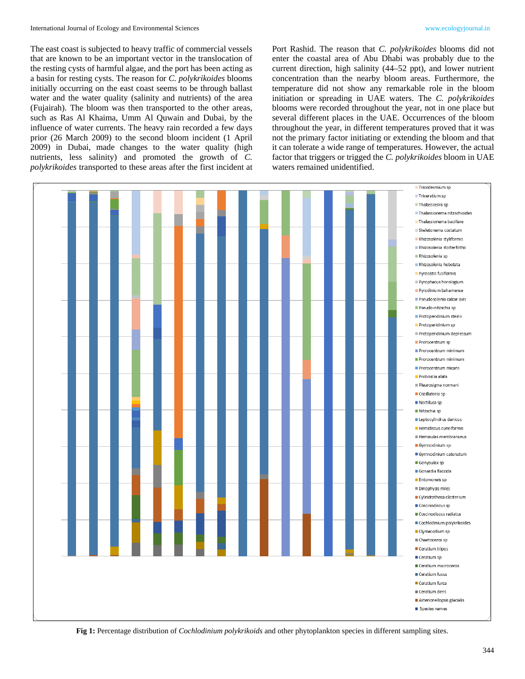The east coast is subjected to heavy traffic of commercial vessels that are known to be an important vector in the translocation of the resting cysts of harmful algae, and the port has been acting as a basin for resting cysts. The reason for *C. polykrikoides* blooms initially occurring on the east coast seems to be through ballast water and the water quality (salinity and nutrients) of the area (Fujairah). The bloom was then transported to the other areas, such as Ras Al Khaima, Umm Al Quwain and Dubai, by the influence of water currents. The heavy rain recorded a few days prior (26 March 2009) to the second bloom incident (1 April 2009) in Dubai, made changes to the water quality (high nutrients, less salinity) and promoted the growth of *C. polykrikoides* transported to these areas after the first incident at Port Rashid. The reason that *C. polykrikoides* blooms did not enter the coastal area of Abu Dhabi was probably due to the current direction, high salinity (44–52 ppt), and lower nutrient concentration than the nearby bloom areas. Furthermore, the temperature did not show any remarkable role in the bloom initiation or spreading in UAE waters. The *C. polykrikoides* blooms were recorded throughout the year, not in one place but several different places in the UAE. Occurrences of the bloom throughout the year, in different temperatures proved that it was not the primary factor initiating or extending the bloom and that it can tolerate a wide range of temperatures. However, the actual factor that triggers or trigged the *C. polykrikoides* bloom in UAE waters remained unidentified.



**Fig 1:** Percentage distribution of *Cochlodinium polykrikoids* and other phytoplankton species in different sampling sites.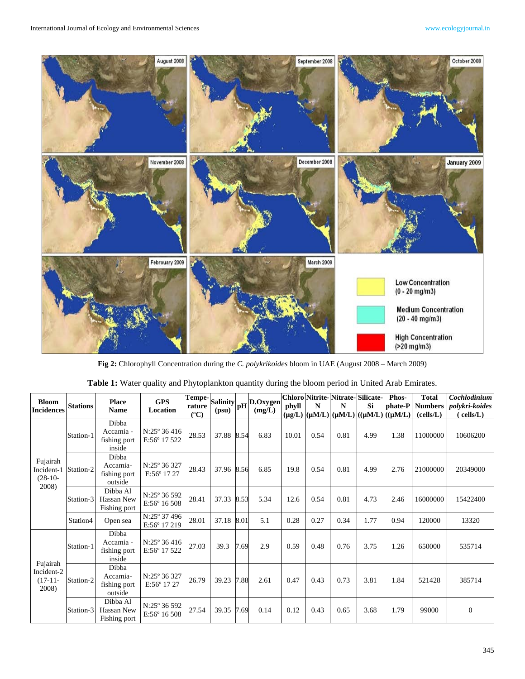

**Fig 2:** Chlorophyll Concentration during the *C. polykrikoides* bloom in UAE (August 2008 – March 2009)

| <b>Bloom</b><br><b>Incidences</b>            | <b>Stations</b> | <b>Place</b><br><b>Name</b>                  | <b>GPS</b><br>Location                       | $(^{\circ}C)$ | (psu) |      | $\left \frac{\text{Tempe}}{\text{rature}}\right \underset{\text{(new)}}{\text{Salinity}}\right \text{pH}\left \underset{\text{(mg/L)}}{\text{D.Oxygen}}\right $<br>(mg/L) | phyll | N    | Chloro Nitrite-Nitrate-Silicate-<br>N | <b>Si</b> | Phos-<br>phate-P<br>$(\mu g/L)$ $ (\mu M/L) (\mu M/L) ((\mu M/L)) (\mu M/L) $ | <b>Total</b><br><b>Numbers</b><br>(cells/L) | Cochlodinium<br><i>polykri-koides</i><br>cells/L) |
|----------------------------------------------|-----------------|----------------------------------------------|----------------------------------------------|---------------|-------|------|---------------------------------------------------------------------------------------------------------------------------------------------------------------------------|-------|------|---------------------------------------|-----------|-------------------------------------------------------------------------------|---------------------------------------------|---------------------------------------------------|
| Fujairah<br>Incident-1<br>$(28-10-$<br>2008) | Station-1       | Dibba<br>Accamia -<br>fishing port<br>inside | $N:25^{\circ}36416$<br>$E:56^{\circ}$ 17 522 | 28.53         | 37.88 | 8.54 | 6.83                                                                                                                                                                      | 10.01 | 0.54 | 0.81                                  | 4.99      | 1.38                                                                          | 11000000                                    | 10606200                                          |
|                                              | Station-2       | Dibba<br>Accamia-<br>fishing port<br>outside | $N:25^{\circ}36327$<br>$E:56^{\circ} 17 27$  | 28.43         | 37.96 | 8.56 | 6.85                                                                                                                                                                      | 19.8  | 0.54 | 0.81                                  | 4.99      | 2.76                                                                          | 21000000                                    | 20349000                                          |
|                                              | Station-3       | Dibba Al<br>Hassan New<br>Fishing port       | N:25° 36 592<br>E:56° 16 508                 | 28.41         | 37.33 | 8.53 | 5.34                                                                                                                                                                      | 12.6  | 0.54 | 0.81                                  | 4.73      | 2.46                                                                          | 16000000                                    | 15422400                                          |
|                                              | Station4        | Open sea                                     | N:25° 37 496<br>E:56° 17 219                 | 28.01         | 37.18 | 8.01 | 5.1                                                                                                                                                                       | 0.28  | 0.27 | 0.34                                  | 1.77      | 0.94                                                                          | 120000                                      | 13320                                             |
| Fujairah<br>Incident-2<br>$(17-11-$<br>2008) | Station-1       | Dibba<br>Accamia -<br>fishing port<br>inside | $N:25^{\circ}36416$<br>$E:56^{\circ} 17 522$ | 27.03         | 39.3  | 7.69 | 2.9                                                                                                                                                                       | 0.59  | 0.48 | 0.76                                  | 3.75      | 1.26                                                                          | 650000                                      | 535714                                            |
|                                              | Station-2       | Dibba<br>Accamia-<br>fishing port<br>outside | N:25° 36 327<br>$E:56^{\circ} 17 27$         | 26.79         | 39.23 | 7.88 | 2.61                                                                                                                                                                      | 0.47  | 0.43 | 0.73                                  | 3.81      | 1.84                                                                          | 521428                                      | 385714                                            |
|                                              | Station-3       | Dibba Al<br>Hassan New<br>Fishing port       | N:25° 36 592<br>E:56° 16 508                 | 27.54         | 39.35 | 7.69 | 0.14                                                                                                                                                                      | 0.12  | 0.43 | 0.65                                  | 3.68      | 1.79                                                                          | 99000                                       | $\overline{0}$                                    |

|  | Table 1: Water quality and Phytoplankton quantity during the bloom period in United Arab Emirates. |  |  |  |  |  |  |  |  |  |
|--|----------------------------------------------------------------------------------------------------|--|--|--|--|--|--|--|--|--|
|--|----------------------------------------------------------------------------------------------------|--|--|--|--|--|--|--|--|--|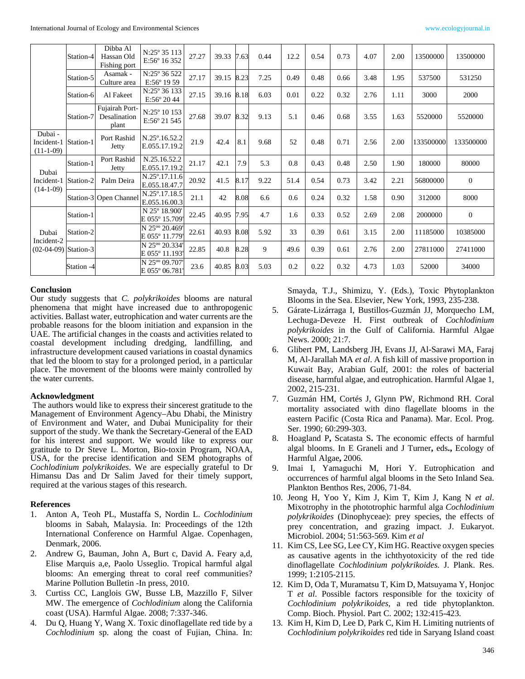|                                               | Station-4  | Dibba Al<br>Hassan Old<br>Fishing port  | N:25° 35 113<br>E:56° 16 352                 | 27.27 | 39.33 7.63 |      | 0.44 | 12.2 | 0.54 | 0.73 | 4.07 | 2.00 | 13500000  | 13500000     |
|-----------------------------------------------|------------|-----------------------------------------|----------------------------------------------|-------|------------|------|------|------|------|------|------|------|-----------|--------------|
|                                               | Station-5  | Asamak -<br>Culture area                | N:25° 36 522<br>$E:56^{\circ} 19 59$         | 27.17 | 39.15      | 8.23 | 7.25 | 0.49 | 0.48 | 0.66 | 3.48 | 1.95 | 537500    | 531250       |
|                                               | Station-6  | Al Fakeet                               | $N:25^{\circ}36133$<br>E:56° 2044            | 27.15 | 39.16 8.18 |      | 6.03 | 0.01 | 0.22 | 0.32 | 2.76 | 1.11 | 3000      | 2000         |
|                                               | Station-7  | Fujairah Port-<br>Desalination<br>plant | $N:25^{\circ} 10 153$<br>E:56° 21 545        | 27.68 | 39.07      | 8.32 | 9.13 | 5.1  | 0.46 | 0.68 | 3.55 | 1.63 | 5520000   | 5520000      |
| Dubai -<br>Incident-1<br>$(11-1-09)$          | Station-1  | Port Rashid<br>Jetty                    | N.25°.16.52.2<br>E.055.17.19.2               | 21.9  | 42.4       | 8.1  | 9.68 | 52   | 0.48 | 0.71 | 2.56 | 2.00 | 133500000 | 133500000    |
| Dubai<br>Incident-1<br>$(14-1-09)$            | Station-1  | Port Rashid<br>Jetty                    | N.25.16.52.2<br>E.055.17.19.2                | 21.17 | 42.1       | 7.9  | 5.3  | 0.8  | 0.43 | 0.48 | 2.50 | 1.90 | 180000    | 80000        |
|                                               | Station-2  | Palm Deira                              | N.25°.17.11.6<br>E.055.18.47.7               | 20.92 | 41.5       | 8.17 | 9.22 | 51.4 | 0.54 | 0.73 | 3.42 | 2.21 | 56800000  | $\theta$     |
|                                               |            | Station-3 Open Channel                  | N.25°.17.18.5<br>E.055.16.00.3               | 21.1  | 42         | 8.08 | 6.6  | 0.6  | 0.24 | 0.32 | 1.58 | 0.90 | 312000    | 8000         |
| Dubai<br>Incident-2<br>$(02-04-09)$ Station-3 | Station-1  |                                         | N 25° 18.900'<br>E 055° 15.709'              | 22.45 | 40.95      | 7.95 | 4.7  | 1.6  | 0.33 | 0.52 | 2.69 | 2.08 | 2000000   | $\mathbf{0}$ |
|                                               | Station-2  |                                         | N 25 <sup>oo</sup> 20.469'<br>E 055° 11.779' | 22.61 | 40.93      | 8.08 | 5.92 | 33   | 0.39 | 0.61 | 3.15 | 2.00 | 11185000  | 10385000     |
|                                               |            |                                         | N 25 <sup>oo</sup> 20.334'<br>E 055° 11.193' | 22.85 | 40.8       | 8.28 | 9    | 49.6 | 0.39 | 0.61 | 2.76 | 2.00 | 27811000  | 27411000     |
|                                               | Station -4 |                                         | N 25 <sup>oo</sup> 09.707'<br>E 055° 06.781' | 23.6  | 40.85      | 8.03 | 5.03 | 0.2  | 0.22 | 0.32 | 4.73 | 1.03 | 52000     | 34000        |

#### **Conclusion**

Our study suggests that *C. polykrikoides* blooms are natural phenomena that might have increased due to anthropogenic activities. Ballast water, eutrophication and water currents are the probable reasons for the bloom initiation and expansion in the UAE. The artificial changes in the coasts and activities related to coastal development including dredging, landfilling, and infrastructure development caused variations in coastal dynamics that led the bloom to stay for a prolonged period, in a particular place. The movement of the blooms were mainly controlled by the water currents.

#### **Acknowledgment**

The authors would like to express their sincerest gratitude to the Management of Environment Agency–Abu Dhabi, the Ministry of Environment and Water, and Dubai Municipality for their support of the study. We thank the Secretary-General of the EAD for his interest and support. We would like to express our gratitude to Dr Steve L. Morton, Bio-toxin Program, NOAA, USA, for the precise identification and SEM photographs of *Cochlodinium polykrikoides*. We are especially grateful to Dr Himansu Das and Dr Salim Javed for their timely support, required at the various stages of this research.

## **References**

- 1. Anton A, Teoh PL, Mustaffa S, Nordin L. *Cochlodinium* blooms in Sabah, Malaysia. In: Proceedings of the 12th International Conference on Harmful Algae. Copenhagen, Denmark, 2006.
- 2. Andrew G, Bauman, John A, Burt c, David A. Feary a,d, Elise Marquis a,e, Paolo Usseglio. Tropical harmful algal blooms: An emerging threat to coral reef communities? Marine Pollution Bulletin -In press, 2010.
- 3. Curtiss CC, Langlois GW, Busse LB, Mazzillo F, Silver MW. The emergence of *Cochlodinium* along the California coast (USA). Harmful Algae. 2008; 7:337-346.
- 4. Du Q, Huang Y, Wang X. Toxic dinoflagellate red tide by a *Cochlodinium* sp. along the coast of Fujian, China. In:

Smayda, T.J., Shimizu, Y. (Eds.), Toxic Phytoplankton Blooms in the Sea. Elsevier, New York, 1993, 235-238.

- 5. Gárate-Lizárraga I, Bustillos-Guzmán JJ, Morquecho LM, Lechuga-Deveze H. First outbreak of *Cochlodinium polykrikoides* in the Gulf of California. Harmful Algae News. 2000; 21:7.
- 6. Glibert PM, Landsberg JH, Evans JJ, Al-Sarawi MA, Faraj M, Al-Jarallah MA *et al*. A fish kill of massive proportion in Kuwait Bay, Arabian Gulf, 2001: the roles of bacterial disease, harmful algae, and eutrophication. Harmful Algae 1, 2002, 215-231.
- 7. Guzmán HM, Cortés J, Glynn PW, Richmond RH. Coral mortality associated with dino flagellate blooms in the eastern Pacific (Costa Rica and Panama). Mar. Ecol. Prog. Ser. 1990; 60:299-303.
- 8. Hoagland P**,** Scatasta S**.** The economic effects of harmful algal blooms. In E Graneli and J Turner**,** eds**.,** Ecology of Harmful Algae**,** 2006.
- 9. Imai I, Yamaguchi M, Hori Y. Eutrophication and occurrences of harmful algal blooms in the Seto Inland Sea. Plankton Benthos Res, 2006, 71-84.
- 10. Jeong H, Yoo Y, Kim J, Kim T, Kim J, Kang N *et al*. Mixotrophy in the phototrophic harmful alga *Cochlodinium polykrikoides* (Dinophyceae): prey species, the effects of prey concentration, and grazing impact. J. Eukaryot. Microbiol. 2004; 51:563-569. Kim *et al*
- 11. Kim CS, Lee SG, Lee CY, Kim HG. Reactive oxygen species as causative agents in the ichthyotoxicity of the red tide dinoflagellate *Cochlodinium polykrikoides.* J. Plank. Res. 1999; 1:2105-2115.
- 12. Kim D, Oda T, Muramatsu T, Kim D, Matsuyama Y, Honjoc T *et al*. Possible factors responsible for the toxicity of *Cochlodinium polykrikoides*, a red tide phytoplankton. Comp. Bioch. Physiol. Part C. 2002; 132:415-423.
- 13. Kim H, Kim D, Lee D, Park C, Kim H. Limiting nutrients of *Cochlodinium polykrikoides* red tide in Saryang Island coast